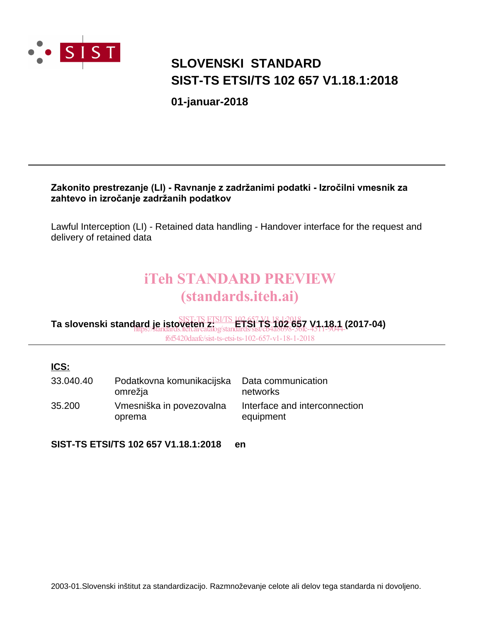

# **SIST-TS ETSI/TS 102 657 V1.18.1:2018 SLOVENSKI STANDARD**

**01-januar-2018**

#### Zakonito prestrezanje (LI) - Ravnanje z zadržanimi podatki - Izročilni vmesnik za zahtevo in izročanje zadržanih podatkov

Lawful Interception (LI) - Retained data handling - Handover interface for the request and delivery of retained data

# iTeh STANDARD PREVIEW (standards.iteh.ai)

**Ta slovenski standard je istoveten z: ETSI TS 102 657 V1.18.1 (2017-04)** SIST-TS ETSI/TS 102 657 V1.18.1:2018 https://standards.iteh.ai/catalog/standards/sist/cb4a8698-36fc-4511-9044-

f6f5420daafc/sist-ts-etsi-ts-102-657-v1-18-1-2018

#### **ICS:**

| 33.040.40 | Podatkovna komunikacijska<br>omrežja | Data communication<br>networks             |
|-----------|--------------------------------------|--------------------------------------------|
| 35.200    | Vmesniška in povezovalna<br>oprema   | Interface and interconnection<br>equipment |

**SIST-TS ETSI/TS 102 657 V1.18.1:2018 en**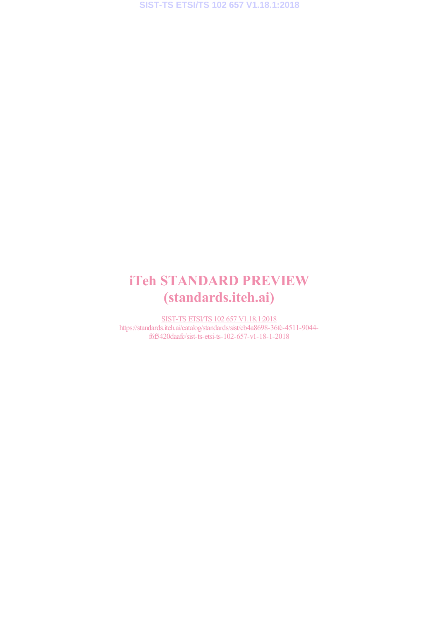# iTeh STANDARD PREVIEW (standards.iteh.ai)

SIST-TS ETSI/TS 102 657 V1.18.1:2018 https://standards.iteh.ai/catalog/standards/sist/cb4a8698-36fc-4511-9044f6f5420daafc/sist-ts-etsi-ts-102-657-v1-18-1-2018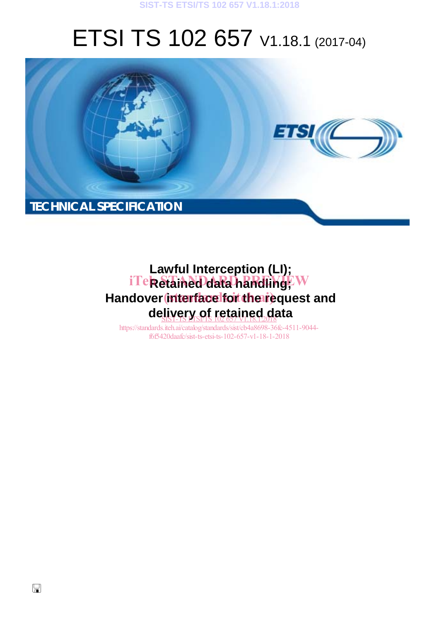#### **SIST-TS ETSI/TS 102 657 V1.18.1:2018**

# ETSI TS 102 657 V1.18.1 (2017-04)



# **Lawful Interception (LI);** iTe**k Stained data handling**; W Handover interface for the request and de<u>livery of retained d</u>ata

https://standards.iteh.ai/catalog/standards/sist/cb4a8698-36fc-4511-9044 f6f5420daafc/sist-ts-etsi-ts-102-657-v1-18-1-2018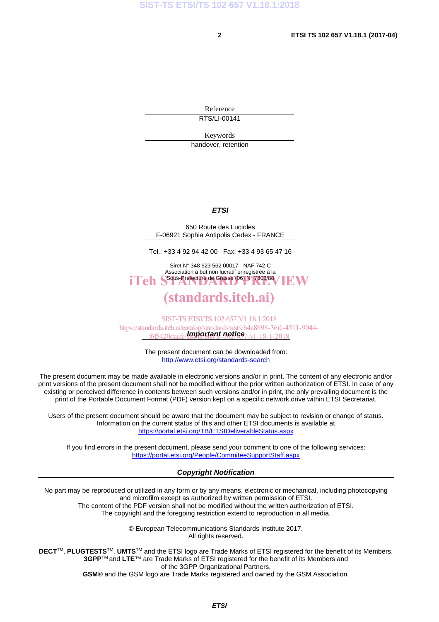Reference RTS/LI-00141

Keywords

handover, retention

#### *ETSI*

650 Route des Lucioles F-06921 Sophia Antipolis Cedex - FRANCE

Tel.: +33 4 92 94 42 00 Fax: +33 4 93 65 47 16

Siret N° 348 623 562 00017 - NAF 742 C Association à but non lucratif enregistrée à la iTeh S<sup>Sous-Préfecture</sup> de Grasse (06) N° 7803/88 / IEW

### (standards.iteh.ai)

*Important notice*  f6f5420daafc/sist-ts-etsi-ts-102-657-v1-18-1-2018SIST-TS ETSI/TS 102 657 V1.18.1:2018 https://standards.iteh.ai/catalog/standards/sist/cb4a8698-36fc-4511-9044-

> The present document can be downloaded from: http://www.etsi.org/standards-search

The present document may be made available in electronic versions and/or in print. The content of any electronic and/or print versions of the present document shall not be modified without the prior written authorization of ETSI. In case of any existing or perceived difference in contents between such versions and/or in print, the only prevailing document is the print of the Portable Document Format (PDF) version kept on a specific network drive within ETSI Secretariat.

Users of the present document should be aware that the document may be subject to revision or change of status. Information on the current status of this and other ETSI documents is available at https://portal.etsi.org/TB/ETSIDeliverableStatus.aspx

If you find errors in the present document, please send your comment to one of the following services: https://portal.etsi.org/People/CommiteeSupportStaff.aspx

#### *Copyright Notification*

No part may be reproduced or utilized in any form or by any means, electronic or mechanical, including photocopying and microfilm except as authorized by written permission of ETSI. The content of the PDF version shall not be modified without the written authorization of ETSI.

The copyright and the foregoing restriction extend to reproduction in all media.

© European Telecommunications Standards Institute 2017. All rights reserved.

**DECT**TM, **PLUGTESTS**TM, **UMTS**TM and the ETSI logo are Trade Marks of ETSI registered for the benefit of its Members. **3GPP**TM and **LTE**™ are Trade Marks of ETSI registered for the benefit of its Members and of the 3GPP Organizational Partners.

**GSM**® and the GSM logo are Trade Marks registered and owned by the GSM Association.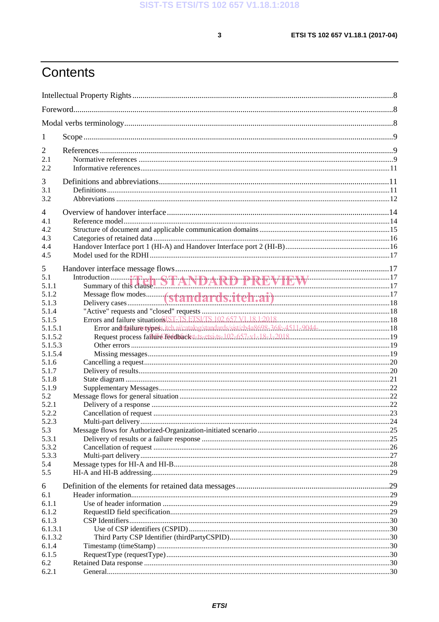$\mathbf{3}$ 

# Contents

| 1                |                                                                   |  |
|------------------|-------------------------------------------------------------------|--|
| 2                |                                                                   |  |
| 2.1              |                                                                   |  |
| 2.2              |                                                                   |  |
|                  |                                                                   |  |
| 3                |                                                                   |  |
| 3.1<br>3.2       |                                                                   |  |
|                  |                                                                   |  |
| $\overline{4}$   |                                                                   |  |
| 4.1              |                                                                   |  |
| 4.2              |                                                                   |  |
| 4.3              |                                                                   |  |
| 4.4              |                                                                   |  |
| 4.5              |                                                                   |  |
| 5                |                                                                   |  |
| 5.1              |                                                                   |  |
| 5.1.1            |                                                                   |  |
| 5.1.2            |                                                                   |  |
| 5.1.3            |                                                                   |  |
| 5.1.4            |                                                                   |  |
| 5.1.5<br>5.1.5.1 | Errors and failure situation SIST-TS ETSI/TS 102.657 V1.18.1.2018 |  |
| 5.1.5.2          |                                                                   |  |
| 5.1.5.3          |                                                                   |  |
| 5.1.5.4          |                                                                   |  |
| 5.1.6            |                                                                   |  |
| 5.1.7            |                                                                   |  |
| 5.1.8            |                                                                   |  |
| 5.1.9            |                                                                   |  |
| 5.2              |                                                                   |  |
| 5.2.1            |                                                                   |  |
| 5.2.2            |                                                                   |  |
| 5.2.3            |                                                                   |  |
| 5.3              |                                                                   |  |
| 5.3.1<br>5.3.2   |                                                                   |  |
| 5.3.3            |                                                                   |  |
| 5.4              |                                                                   |  |
| 5.5              |                                                                   |  |
|                  |                                                                   |  |
| 6                |                                                                   |  |
| 6.1              |                                                                   |  |
| 6.1.1<br>6.1.2   |                                                                   |  |
| 6.1.3            |                                                                   |  |
| 6.1.3.1          |                                                                   |  |
| 6.1.3.2          |                                                                   |  |
| 6.1.4            |                                                                   |  |
| 6.1.5            |                                                                   |  |
| 6.2              |                                                                   |  |
| 6.2.1            |                                                                   |  |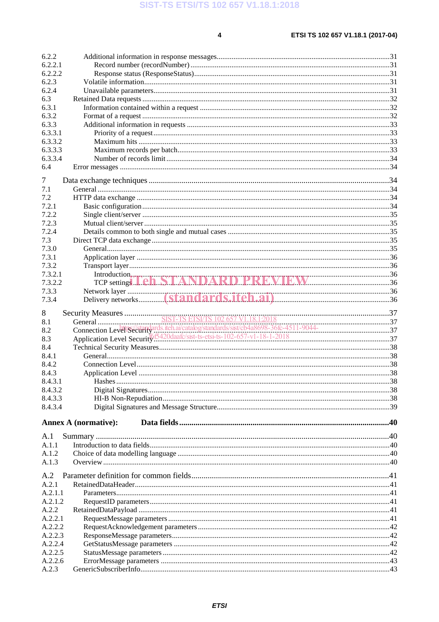$\overline{\mathbf{4}}$ 

| 6.2.2              |                                                                        |  |
|--------------------|------------------------------------------------------------------------|--|
| 6.2.2.1            |                                                                        |  |
| 6.2.2.2            |                                                                        |  |
| 6.2.3              |                                                                        |  |
| 6.2.4              |                                                                        |  |
| 6.3                |                                                                        |  |
| 6.3.1              |                                                                        |  |
| 6.3.2              |                                                                        |  |
| 6.3.3              |                                                                        |  |
| 6.3.3.1            |                                                                        |  |
| 6.3.3.2            |                                                                        |  |
| 6.3.3.3<br>6.3.3.4 |                                                                        |  |
| 6.4                |                                                                        |  |
|                    |                                                                        |  |
| 7                  |                                                                        |  |
| 7.1                |                                                                        |  |
| 7.2                |                                                                        |  |
| 7.2.1              |                                                                        |  |
| 7.2.2              |                                                                        |  |
| 7.2.3              |                                                                        |  |
| 7.2.4              |                                                                        |  |
| 7.3                |                                                                        |  |
| 7.3.0              |                                                                        |  |
| 7.3.1              |                                                                        |  |
| 7.3.2              |                                                                        |  |
| 7.3.2.1            | Introduction, The <b>STANDARD PREVIEW</b> 15 No. 36                    |  |
| 7.3.2.2            |                                                                        |  |
| 7.3.3<br>7.3.4     |                                                                        |  |
|                    |                                                                        |  |
| 8                  |                                                                        |  |
| 8.1                |                                                                        |  |
| 8.2                |                                                                        |  |
| 8.3                | Application Level Security20daafc/sist-ts-etsi-ts-102-657-v1-18-1-2018 |  |
| 8.4                |                                                                        |  |
| 8.4.1              |                                                                        |  |
| 8.4.2              |                                                                        |  |
| 8.4.3              |                                                                        |  |
| 8.4.3.1            |                                                                        |  |
| 8.4.3.2            |                                                                        |  |
| 8.4.3.3            |                                                                        |  |
| 8.4.3.4            |                                                                        |  |
|                    | <b>Annex A (normative):</b>                                            |  |
|                    |                                                                        |  |
| A.1                |                                                                        |  |
| A.1.1              |                                                                        |  |
| A.1.2              |                                                                        |  |
| A.1.3              |                                                                        |  |
| A.2                |                                                                        |  |
| A.2.1              |                                                                        |  |
| A.2.1.1            |                                                                        |  |
| A.2.1.2            |                                                                        |  |
| A.2.2              |                                                                        |  |
| A.2.2.1            |                                                                        |  |
| A.2.2.2            |                                                                        |  |
| A.2.2.3            |                                                                        |  |
| A.2.2.4            |                                                                        |  |
| A.2.2.5            |                                                                        |  |
| A.2.2.6            |                                                                        |  |
| A.2.3              |                                                                        |  |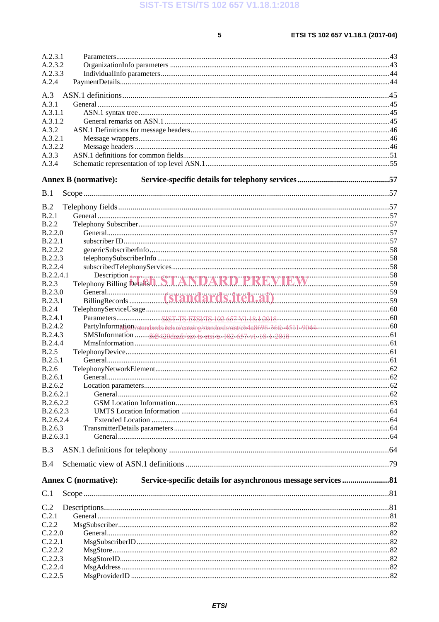SIST-TS ETSI/TS 102 657 V1.18.1:2018

 $\overline{\mathbf{5}}$ 

| A.2.3.1        |                                              |  |
|----------------|----------------------------------------------|--|
| A.2.3.2        |                                              |  |
| A.2.3.3        |                                              |  |
| A.2.4          |                                              |  |
|                |                                              |  |
| A.3            |                                              |  |
| A.3.1          |                                              |  |
| A.3.1.1        |                                              |  |
| A.3.1.2        |                                              |  |
| A.3.2          |                                              |  |
| A.3.2.1        |                                              |  |
| A.3.2.2        |                                              |  |
| A.3.3          |                                              |  |
| A.3.4          |                                              |  |
|                | <b>Annex B</b> (normative):                  |  |
| B.1            |                                              |  |
|                |                                              |  |
| B.2            |                                              |  |
| <b>B.2.1</b>   |                                              |  |
| B.2.2          |                                              |  |
| <b>B.2.2.0</b> |                                              |  |
| <b>B.2.2.1</b> |                                              |  |
| <b>B.2.2.2</b> |                                              |  |
| B.2.2.3        |                                              |  |
| B.2.2.4        |                                              |  |
| B.2.2.4.1      |                                              |  |
| B.2.3          | Description Description STANDARD PREVIEW 758 |  |
| B.2.3.0        |                                              |  |
| B.2.3.1        |                                              |  |
| <b>B.2.4</b>   |                                              |  |
| <b>B.2.4.1</b> |                                              |  |
| <b>B.2.4.2</b> |                                              |  |
| <b>B.2.4.3</b> |                                              |  |
| <b>B.2.4.4</b> |                                              |  |
| B.2.5          |                                              |  |
| <b>B.2.5.1</b> |                                              |  |
| B.2.6          |                                              |  |
| <b>B.2.6.1</b> |                                              |  |
| B.2.6.2        |                                              |  |
| B.2.6.2.1      |                                              |  |
| B.2.6.2.2      |                                              |  |
| B.2.6.2.3      |                                              |  |
| B.2.6.2.4      |                                              |  |
| B.2.6.3        |                                              |  |
| B.2.6.3.1      |                                              |  |
|                |                                              |  |
| B.3            |                                              |  |
| B.4            |                                              |  |
|                | <b>Annex C</b> (normative):                  |  |
| C.1            |                                              |  |
| C.2            |                                              |  |
| C.2.1          |                                              |  |
| C.2.2          |                                              |  |
| C.2.2.0        |                                              |  |
| C.2.2.1        |                                              |  |
| C.2.2.2        |                                              |  |
| C.2.2.3        |                                              |  |
| C.2.2.4        |                                              |  |
| C.2.2.5        |                                              |  |
|                |                                              |  |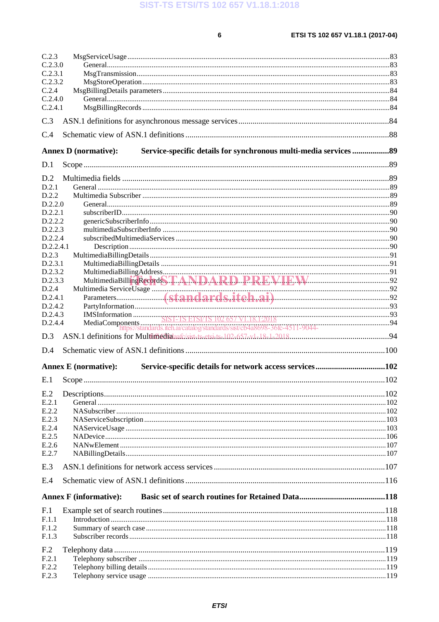SIST-TS ETSI/TS 102 657 V1.18.1:2018

 $\bf 6$ 

| C.2.3     |                                                                                                 |      |
|-----------|-------------------------------------------------------------------------------------------------|------|
| C.2.3.0   |                                                                                                 |      |
| C.2.3.1   |                                                                                                 |      |
| C.2.3.2   |                                                                                                 |      |
| C.2.4     |                                                                                                 |      |
| C.2.4.0   |                                                                                                 |      |
| C.2.4.1   |                                                                                                 |      |
| C.3       |                                                                                                 |      |
| C.4       |                                                                                                 |      |
|           | Service-specific details for synchronous multi-media services 89<br><b>Annex D</b> (normative): |      |
| D.1       |                                                                                                 |      |
| D.2       |                                                                                                 |      |
| D.2.1     |                                                                                                 |      |
| D.2.2     |                                                                                                 |      |
| D.2.2.0   |                                                                                                 |      |
| D.2.2.1   |                                                                                                 |      |
| D.2.2.2   |                                                                                                 |      |
| D.2.2.3   |                                                                                                 |      |
| D.2.2.4   |                                                                                                 |      |
| D.2.2.4.1 |                                                                                                 |      |
| D.2.3     |                                                                                                 |      |
| D.2.3.1   |                                                                                                 |      |
| D.2.3.2   |                                                                                                 |      |
| D.2.3.3   |                                                                                                 |      |
| D.2.4     |                                                                                                 |      |
| D.2.4.1   |                                                                                                 |      |
| D.2.4.2   |                                                                                                 |      |
| D.2.4.3   |                                                                                                 |      |
| D.2.4.4   |                                                                                                 |      |
| D.3       |                                                                                                 |      |
| D.4       |                                                                                                 |      |
|           | Service-specific details for network access services102<br><b>Annex E</b> (normative):          |      |
|           | E.1 Scope.                                                                                      | .102 |
| E.2       |                                                                                                 |      |
| E.2.1     |                                                                                                 |      |
| E.2.2     |                                                                                                 |      |
| E.2.3     |                                                                                                 |      |
| E.2.4     |                                                                                                 |      |
| E.2.5     |                                                                                                 |      |
| E.2.6     |                                                                                                 |      |
| E.2.7     |                                                                                                 |      |
| E.3       |                                                                                                 |      |
| E.4       |                                                                                                 |      |
|           | <b>Annex F</b> (informative):                                                                   |      |
| F.1       |                                                                                                 |      |
| F.1.1     |                                                                                                 |      |
| F.1.2     |                                                                                                 |      |
| F.1.3     |                                                                                                 |      |
|           |                                                                                                 |      |
| F.2       |                                                                                                 |      |
| F.2.1     |                                                                                                 |      |
| F.2.2     |                                                                                                 |      |
| F.2.3     |                                                                                                 |      |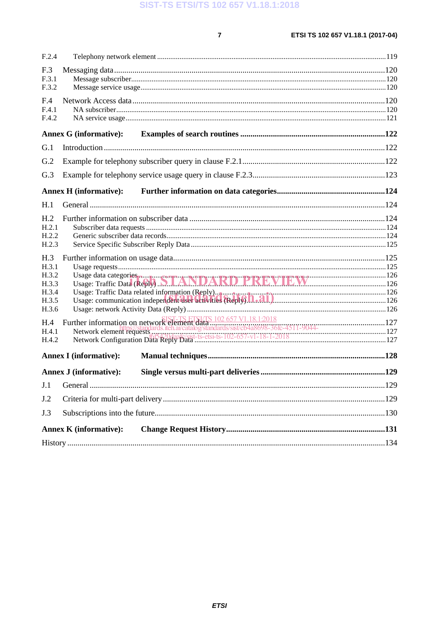$\overline{7}$ 

| F.2.4                          |                                                                                                                                                                                                                                 |  |
|--------------------------------|---------------------------------------------------------------------------------------------------------------------------------------------------------------------------------------------------------------------------------|--|
| F.3<br>F.3.1<br>F.3.2          |                                                                                                                                                                                                                                 |  |
| F.4<br>F.4.1<br>F.4.2          |                                                                                                                                                                                                                                 |  |
|                                | <b>Annex G (informative):</b>                                                                                                                                                                                                   |  |
| G.1                            |                                                                                                                                                                                                                                 |  |
| G.2                            |                                                                                                                                                                                                                                 |  |
| G.3                            |                                                                                                                                                                                                                                 |  |
|                                |                                                                                                                                                                                                                                 |  |
| H.1                            |                                                                                                                                                                                                                                 |  |
| H.2<br>H.2.1<br>H.2.2<br>H.2.3 |                                                                                                                                                                                                                                 |  |
| H.3<br>H.3.1<br>H.3.2<br>H.3.3 | Usage data categories<br>Usage: Traffic Data (Reply). STANDARD PREVIEW [126]<br>126                                                                                                                                             |  |
| H.3.4<br>H.3.5<br>H.3.6        | Usage: Traffic Data related information (Reply). The constraint continuum contract of the 126                                                                                                                                   |  |
| H.4<br>H.4.1<br>H.4.2          | Further information on network element data<br>Network element requests then averatiog standards/sist/cb4a8698-36fc-4511-9044-<br>Network element requests and averation of the Account of the Account of the Account of the Ac |  |
|                                | <b>Annex I</b> (informative):                                                                                                                                                                                                   |  |
|                                | <b>Annex J (informative):</b>                                                                                                                                                                                                   |  |
| J.1                            |                                                                                                                                                                                                                                 |  |
| J.2                            |                                                                                                                                                                                                                                 |  |
| J.3                            |                                                                                                                                                                                                                                 |  |
|                                | <b>Annex K</b> (informative):                                                                                                                                                                                                   |  |
|                                |                                                                                                                                                                                                                                 |  |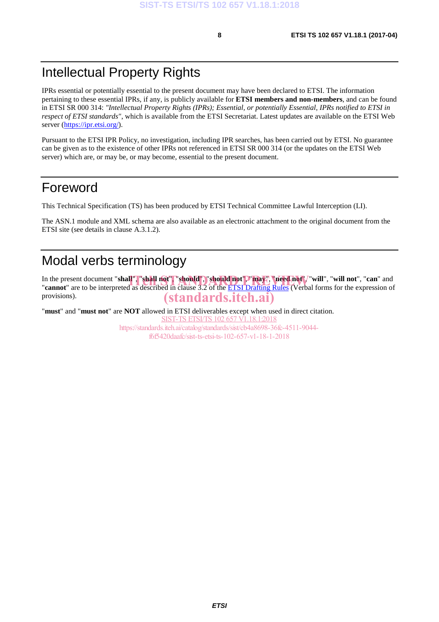### Intellectual Property Rights

IPRs essential or potentially essential to the present document may have been declared to ETSI. The information pertaining to these essential IPRs, if any, is publicly available for **ETSI members and non-members**, and can be found in ETSI SR 000 314: *"Intellectual Property Rights (IPRs); Essential, or potentially Essential, IPRs notified to ETSI in respect of ETSI standards"*, which is available from the ETSI Secretariat. Latest updates are available on the ETSI Web server (https://ipr.etsi.org/).

Pursuant to the ETSI IPR Policy, no investigation, including IPR searches, has been carried out by ETSI. No guarantee can be given as to the existence of other IPRs not referenced in ETSI SR 000 314 (or the updates on the ETSI Web server) which are, or may be, or may become, essential to the present document.

### Foreword

This Technical Specification (TS) has been produced by ETSI Technical Committee Lawful Interception (LI).

The ASN.1 module and XML schema are also available as an electronic attachment to the original document from the ETSI site (see details in clause A.3.1.2).

## Modal verbs terminology

In the present document "**shall**", "**shall not**", "**should**", "**should not**", "**may**", "**need not**", "**will**", "**will not**", "**can**" and In the present document "shall", "shall not", "should", "should not", "may", "need not", "will", "will not", "can" and<br>"cannot" are to be interpreted as described in clause 3.2 of the ETSI Drafting Rules (Verbal forms for provisions). (standards.iteh.ai)

"**must**" and "**must not**" are **NOT** allowed in ETSI deliverables except when used in direct citation. SIST-TS ETSI/TS 102 657 V1.18.1:2018

https://standards.iteh.ai/catalog/standards/sist/cb4a8698-36fc-4511-9044 f6f5420daafc/sist-ts-etsi-ts-102-657-v1-18-1-2018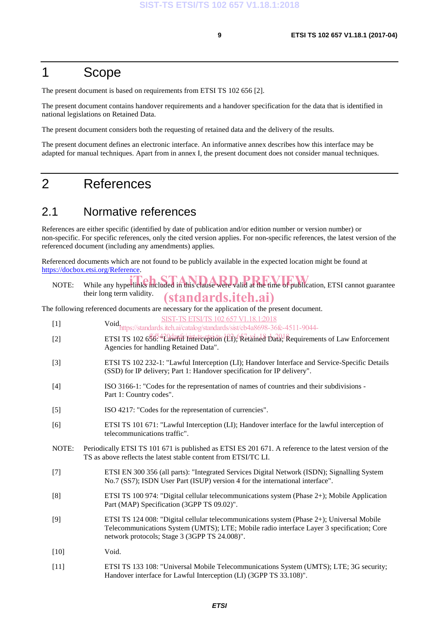### 1 Scope

The present document is based on requirements from ETSI TS 102 656 [2].

The present document contains handover requirements and a handover specification for the data that is identified in national legislations on Retained Data.

The present document considers both the requesting of retained data and the delivery of the results.

The present document defines an electronic interface. An informative annex describes how this interface may be adapted for manual techniques. Apart from in annex I, the present document does not consider manual techniques.

### 2 References

### 2.1 Normative references

References are either specific (identified by date of publication and/or edition number or version number) or non-specific. For specific references, only the cited version applies. For non-specific references, the latest version of the referenced document (including any amendments) applies.

Referenced documents which are not found to be publicly available in the expected location might be found at https://docbox.etsi.org/Reference. I ATLAIN I DD DDEVIEW

| NOTE: While any hyperlinks included in this clause were valid at the time of publication, ETSI cannot guarantee |
|-----------------------------------------------------------------------------------------------------------------|
| their long term validity. (standards.iteh.ai)                                                                   |

The following referenced documents are necessary for the application of the present document.

SIST-TS ETSI/TS 102 657 V1.18.1:2018

- The Void extension of the contract of the contract of the contract of the property of the https://standards.iteh.ai/catalog/standards/sist/cb4a8698-36fc-4511-9044-
- [2] ETSI TS 102  $656$ <sup>542</sup>d $\frac{1}{2}$  filterception (Li);  $674$   $\frac{1}{2}$   $\frac{1}{2}$   $\frac{1}{2}$   $\frac{1}{2}$   $\frac{1}{2}$  Requirements of Law Enforcement Agencies for handling Retained Data".
- [3] ETSI TS 102 232-1: "Lawful Interception (LI); Handover Interface and Service-Specific Details (SSD) for IP delivery; Part 1: Handover specification for IP delivery".
- [4] ISO 3166-1: "Codes for the representation of names of countries and their subdivisions Part 1: Country codes".
- [5] ISO 4217: "Codes for the representation of currencies".
- [6] ETSI TS 101 671: "Lawful Interception (LI); Handover interface for the lawful interception of telecommunications traffic".
- NOTE: Periodically ETSI TS 101 671 is published as ETSI ES 201 671. A reference to the latest version of the TS as above reflects the latest stable content from ETSI/TC LI.
- [7] ETSI EN 300 356 (all parts): "Integrated Services Digital Network (ISDN); Signalling System No.7 (SS7); ISDN User Part (ISUP) version 4 for the international interface".
- [8] ETSI TS 100 974: "Digital cellular telecommunications system (Phase 2+); Mobile Application Part (MAP) Specification (3GPP TS 09.02)".
- [9] ETSI TS 124 008: "Digital cellular telecommunications system (Phase 2+); Universal Mobile Telecommunications System (UMTS); LTE; Mobile radio interface Layer 3 specification; Core network protocols; Stage 3 (3GPP TS 24.008)".
- [10] **Void.**
- [11] ETSI TS 133 108: "Universal Mobile Telecommunications System (UMTS); LTE; 3G security; Handover interface for Lawful Interception (LI) (3GPP TS 33.108)".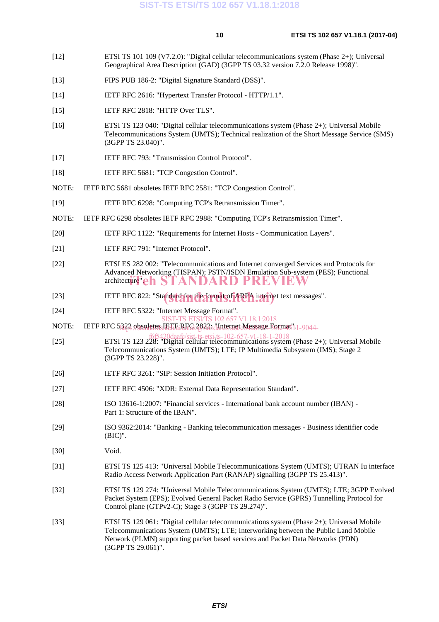- [12] ETSI TS 101 109 (V7.2.0): "Digital cellular telecommunications system (Phase 2+); Universal Geographical Area Description (GAD) (3GPP TS 03.32 version 7.2.0 Release 1998)".
- [13] FIPS PUB 186-2: "Digital Signature Standard (DSS)".
- [14] IETF RFC 2616: "Hypertext Transfer Protocol HTTP/1.1".
- [15] IETF RFC 2818: "HTTP Over TLS".
- [16] ETSI TS 123 040: "Digital cellular telecommunications system (Phase 2+); Universal Mobile Telecommunications System (UMTS); Technical realization of the Short Message Service (SMS) (3GPP TS 23.040)".
- [17] IETF RFC 793: "Transmission Control Protocol".
- [18] IETF RFC 5681: "TCP Congestion Control".
- NOTE: IETF RFC 5681 obsoletes IETF RFC 2581: "TCP Congestion Control".
- [19] IETF RFC 6298: "Computing TCP's Retransmission Timer".
- NOTE: IETF RFC 6298 obsoletes IETF RFC 2988: "Computing TCP's Retransmission Timer".
- [20] IETF RFC 1122: "Requirements for Internet Hosts Communication Layers".
- [21] **IETF RFC 791: "Internet Protocol".**
- [22] ETSI ES 282 002: "Telecommunications and Internet converged Services and Protocols for Advanced Networking (TISPAN); PSTN/ISDN Emulation Sub-system (PES); Functional architecture"eh STANDARD PREVIEW
- [23] IETF RFC 822: "Standard for the format of ARPA internet text messages".
- [24] IETF RFC 5322: "Internet Message Format".<br>SIST-TS ETSI/TS 102 657 V1.18.1:2018
- NOTE: IETF RFC 5322 obsoletes IETE RFQ 2822; "Internet Message Format"| 1-9044-T-TS ETSI/TS 102 657
- ETSI TS 123 228: "Digital cellular telecommunications system (Phase 2+); Universal Mobile [25] Telecommunications System (UMTS); LTE; IP Multimedia Subsystem (IMS); Stage 2 (3GPP TS 23.228)".
- [26] IETF RFC 3261: "SIP: Session Initiation Protocol".
- [27] IETF RFC 4506: "XDR: External Data Representation Standard".
- [28] ISO 13616-1:2007: "Financial services International bank account number (IBAN) Part 1: Structure of the IBAN".
- [29] ISO 9362:2014: "Banking Banking telecommunication messages Business identifier code (BIC)".
- [30] Void.
- [31] ETSI TS 125 413: "Universal Mobile Telecommunications System (UMTS); UTRAN Iu interface Radio Access Network Application Part (RANAP) signalling (3GPP TS 25.413)".
- [32] ETSI TS 129 274: "Universal Mobile Telecommunications System (UMTS); LTE; 3GPP Evolved Packet System (EPS); Evolved General Packet Radio Service (GPRS) Tunnelling Protocol for Control plane (GTPv2-C); Stage 3 (3GPP TS 29.274)".
- [33] ETSI TS 129 061: "Digital cellular telecommunications system (Phase 2+); Universal Mobile Telecommunications System (UMTS); LTE; Interworking between the Public Land Mobile Network (PLMN) supporting packet based services and Packet Data Networks (PDN) (3GPP TS 29.061)".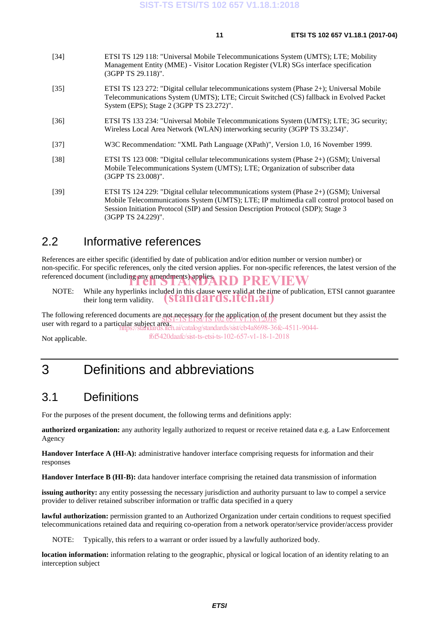- [34] ETSI TS 129 118: "Universal Mobile Telecommunications System (UMTS); LTE; Mobility Management Entity (MME) - Visitor Location Register (VLR) SGs interface specification (3GPP TS 29.118)".
- [35] ETSI TS 123 272: "Digital cellular telecommunications system (Phase 2+); Universal Mobile Telecommunications System (UMTS); LTE; Circuit Switched (CS) fallback in Evolved Packet System (EPS); Stage 2 (3GPP TS 23.272)".
- [36] ETSI TS 133 234: "Universal Mobile Telecommunications System (UMTS); LTE; 3G security; Wireless Local Area Network (WLAN) interworking security (3GPP TS 33.234)".
- [37] W3C Recommendation: "XML Path Language (XPath)", Version 1.0, 16 November 1999.
- [38] ETSI TS 123 008: "Digital cellular telecommunications system (Phase 2+) (GSM); Universal Mobile Telecommunications System (UMTS); LTE; Organization of subscriber data (3GPP TS 23.008)".
- [39] ETSI TS 124 229: "Digital cellular telecommunications system (Phase 2+) (GSM); Universal Mobile Telecommunications System (UMTS); LTE; IP multimedia call control protocol based on Session Initiation Protocol (SIP) and Session Description Protocol (SDP); Stage 3 (3GPP TS 24.229)".

### 2.2 Informative references

References are either specific (identified by date of publication and/or edition number or version number) or non-specific. For specific references, only the cited version applies. For non-specific references, the latest version of the referenced document (including any amendments) applies. RD PREVIEW

NOTE: While any hyperlinks included in this clause were valid at the time of publication, ETSI cannot guarantee their long term validity. (standards.iteh.ai)

The following referenced documents are not necessary for the application of the present document but they assist the The following referenced documents are all the experiments of the approximation of the state of the state of the state and the state area. So the state of the state of the state of the state and the state area. So the stat https://standards.iteh.ai/catalog/standards/sist/cb4a8698-36fc-4511-9044-

Not applicable.

f6f5420daafc/sist-ts-etsi-ts-102-657-v1-18-1-2018

# 3 Definitions and abbreviations

### 3.1 Definitions

For the purposes of the present document, the following terms and definitions apply:

**authorized organization:** any authority legally authorized to request or receive retained data e.g. a Law Enforcement Agency

**Handover Interface A (HI-A):** administrative handover interface comprising requests for information and their responses

**Handover Interface B (HI-B):** data handover interface comprising the retained data transmission of information

**issuing authority:** any entity possessing the necessary jurisdiction and authority pursuant to law to compel a service provider to deliver retained subscriber information or traffic data specified in a query

**lawful authorization:** permission granted to an Authorized Organization under certain conditions to request specified telecommunications retained data and requiring co-operation from a network operator/service provider/access provider

NOTE: Typically, this refers to a warrant or order issued by a lawfully authorized body.

**location information:** information relating to the geographic, physical or logical location of an identity relating to an interception subject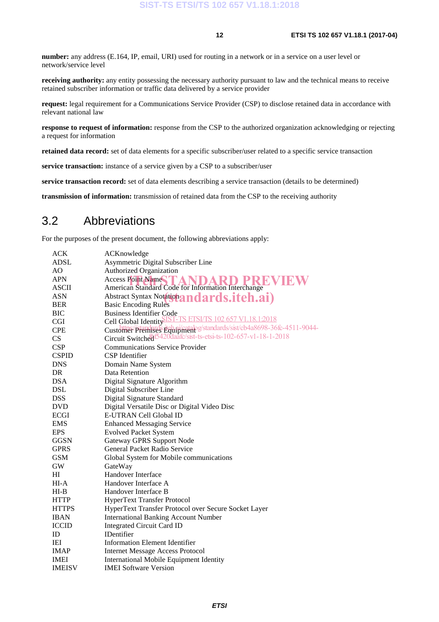**number:** any address (E.164, IP, email, URI) used for routing in a network or in a service on a user level or network/service level

**receiving authority:** any entity possessing the necessary authority pursuant to law and the technical means to receive retained subscriber information or traffic data delivered by a service provider

**request:** legal requirement for a Communications Service Provider (CSP) to disclose retained data in accordance with relevant national law

**response to request of information:** response from the CSP to the authorized organization acknowledging or rejecting a request for information

**retained data record:** set of data elements for a specific subscriber/user related to a specific service transaction

**service transaction:** instance of a service given by a CSP to a subscriber/user

**service transaction record:** set of data elements describing a service transaction (details to be determined)

**transmission of information:** transmission of retained data from the CSP to the receiving authority

#### 3.2 Abbreviations

For the purposes of the present document, the following abbreviations apply:

| <b>ACK</b>    | ACKnowledge                                                                  |
|---------------|------------------------------------------------------------------------------|
| <b>ADSL</b>   | Asymmetric Digital Subscriber Line                                           |
| AO            | Authorized Organization                                                      |
| <b>APN</b>    | <b>Access Point Name</b>                                                     |
| <b>ASCII</b>  | American Standard Code for Information Interchange                           |
| <b>ASN</b>    | Abstract Syntax Notation and ards.iteh.ai)                                   |
| <b>BER</b>    | <b>Basic Encoding Rules</b>                                                  |
| <b>BIC</b>    | <b>Business Identifier Code</b>                                              |
| <b>CGI</b>    | 102 657 V1.18.1:2018<br>Cell Global Identity                                 |
| <b>CPE</b>    | Customer/Premises Equipmento Standards/sist/cb4a8698-36fc-4511-9044-         |
| CS            | Circuit Switchedd <sup>5420</sup> daafc/sist-ts-etsi-ts-102-657-v1-18-1-2018 |
| CSP           | <b>Communications Service Provider</b>                                       |
| <b>CSPID</b>  | CSP Identifier                                                               |
| <b>DNS</b>    | Domain Name System                                                           |
| <b>DR</b>     | Data Retention                                                               |
| <b>DSA</b>    | Digital Signature Algorithm                                                  |
| <b>DSL</b>    | Digital Subscriber Line                                                      |
| <b>DSS</b>    | Digital Signature Standard                                                   |
| <b>DVD</b>    | Digital Versatile Disc or Digital Video Disc                                 |
| <b>ECGI</b>   | E-UTRAN Cell Global ID                                                       |
| <b>EMS</b>    | <b>Enhanced Messaging Service</b>                                            |
| <b>EPS</b>    | <b>Evolved Packet System</b>                                                 |
| <b>GGSN</b>   | Gateway GPRS Support Node                                                    |
| <b>GPRS</b>   | General Packet Radio Service                                                 |
| <b>GSM</b>    | Global System for Mobile communications                                      |
| <b>GW</b>     | GateWay                                                                      |
| HI            | Handover Interface                                                           |
| $HI-A$        | Handover Interface A                                                         |
| $HI-B$        | Handover Interface B                                                         |
| <b>HTTP</b>   | <b>HyperText Transfer Protocol</b>                                           |
| <b>HTTPS</b>  | HyperText Transfer Protocol over Secure Socket Layer                         |
| <b>IBAN</b>   | <b>International Banking Account Number</b>                                  |
| <b>ICCID</b>  | <b>Integrated Circuit Card ID</b>                                            |
| ID            | <b>IDentifier</b>                                                            |
| IEI           | <b>Information Element Identifier</b>                                        |
| <b>IMAP</b>   | <b>Internet Message Access Protocol</b>                                      |
| <b>IMEI</b>   | <b>International Mobile Equipment Identity</b>                               |
| <b>IMEISV</b> | <b>IMEI</b> Software Version                                                 |